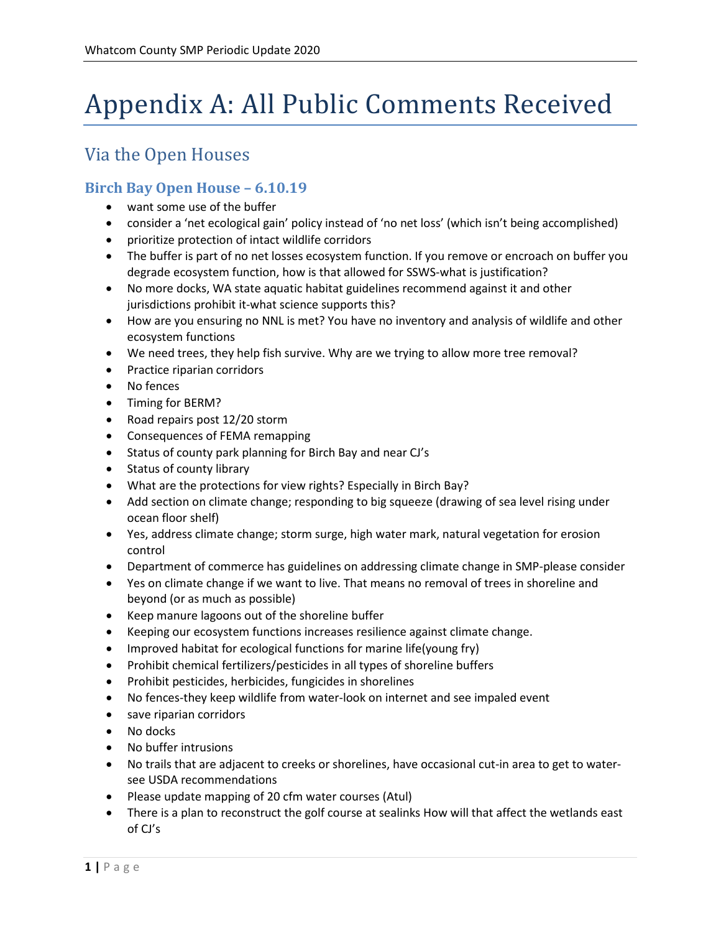# Appendix A: All Public Comments Received

## Via the Open Houses

#### **Birch Bay Open House – 6.10.19**

- want some use of the buffer
- consider a 'net ecological gain' policy instead of 'no net loss' (which isn't being accomplished)
- prioritize protection of intact wildlife corridors
- The buffer is part of no net losses ecosystem function. If you remove or encroach on buffer you degrade ecosystem function, how is that allowed for SSWS-what is justification?
- No more docks, WA state aquatic habitat guidelines recommend against it and other jurisdictions prohibit it-what science supports this?
- How are you ensuring no NNL is met? You have no inventory and analysis of wildlife and other ecosystem functions
- We need trees, they help fish survive. Why are we trying to allow more tree removal?
- Practice riparian corridors
- No fences
- Timing for BERM?
- Road repairs post 12/20 storm
- Consequences of FEMA remapping
- Status of county park planning for Birch Bay and near CJ's
- Status of county library
- What are the protections for view rights? Especially in Birch Bay?
- Add section on climate change; responding to big squeeze (drawing of sea level rising under ocean floor shelf)
- Yes, address climate change; storm surge, high water mark, natural vegetation for erosion control
- Department of commerce has guidelines on addressing climate change in SMP-please consider
- Yes on climate change if we want to live. That means no removal of trees in shoreline and beyond (or as much as possible)
- Keep manure lagoons out of the shoreline buffer
- Keeping our ecosystem functions increases resilience against climate change.
- Improved habitat for ecological functions for marine life(young fry)
- Prohibit chemical fertilizers/pesticides in all types of shoreline buffers
- Prohibit pesticides, herbicides, fungicides in shorelines
- No fences-they keep wildlife from water-look on internet and see impaled event
- save riparian corridors
- No docks
- No buffer intrusions
- No trails that are adjacent to creeks or shorelines, have occasional cut-in area to get to watersee USDA recommendations
- Please update mapping of 20 cfm water courses (Atul)
- There is a plan to reconstruct the golf course at sealinks How will that affect the wetlands east of CJ's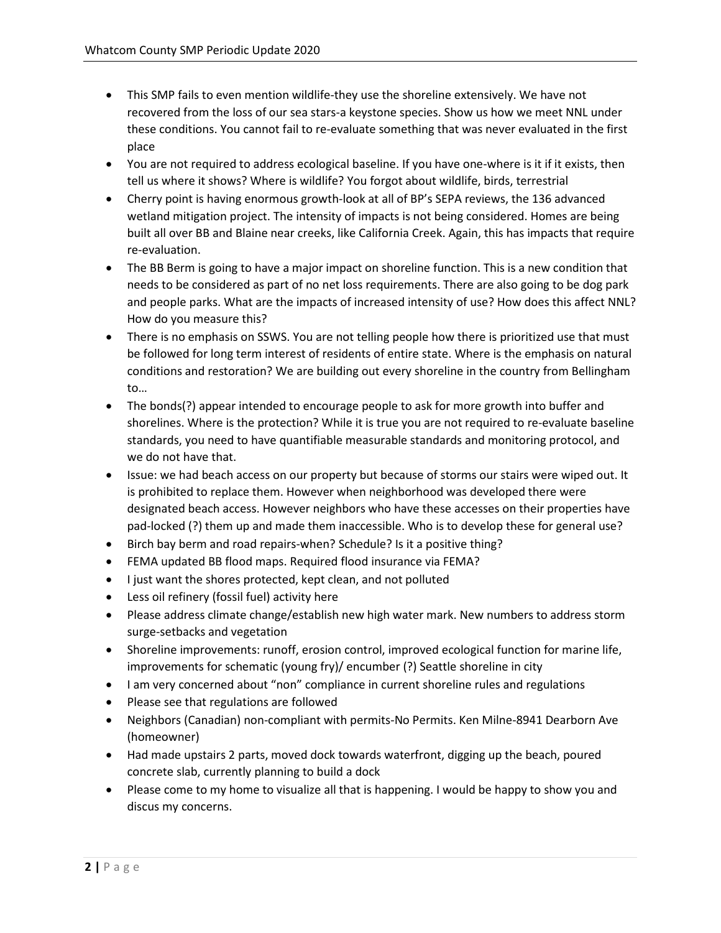- This SMP fails to even mention wildlife-they use the shoreline extensively. We have not recovered from the loss of our sea stars-a keystone species. Show us how we meet NNL under these conditions. You cannot fail to re-evaluate something that was never evaluated in the first place
- You are not required to address ecological baseline. If you have one-where is it if it exists, then tell us where it shows? Where is wildlife? You forgot about wildlife, birds, terrestrial
- Cherry point is having enormous growth-look at all of BP's SEPA reviews, the 136 advanced wetland mitigation project. The intensity of impacts is not being considered. Homes are being built all over BB and Blaine near creeks, like California Creek. Again, this has impacts that require re-evaluation.
- The BB Berm is going to have a major impact on shoreline function. This is a new condition that needs to be considered as part of no net loss requirements. There are also going to be dog park and people parks. What are the impacts of increased intensity of use? How does this affect NNL? How do you measure this?
- There is no emphasis on SSWS. You are not telling people how there is prioritized use that must be followed for long term interest of residents of entire state. Where is the emphasis on natural conditions and restoration? We are building out every shoreline in the country from Bellingham to…
- The bonds(?) appear intended to encourage people to ask for more growth into buffer and shorelines. Where is the protection? While it is true you are not required to re-evaluate baseline standards, you need to have quantifiable measurable standards and monitoring protocol, and we do not have that.
- Issue: we had beach access on our property but because of storms our stairs were wiped out. It is prohibited to replace them. However when neighborhood was developed there were designated beach access. However neighbors who have these accesses on their properties have pad-locked (?) them up and made them inaccessible. Who is to develop these for general use?
- Birch bay berm and road repairs-when? Schedule? Is it a positive thing?
- FEMA updated BB flood maps. Required flood insurance via FEMA?
- I just want the shores protected, kept clean, and not polluted
- Less oil refinery (fossil fuel) activity here
- Please address climate change/establish new high water mark. New numbers to address storm surge-setbacks and vegetation
- Shoreline improvements: runoff, erosion control, improved ecological function for marine life, improvements for schematic (young fry)/ encumber (?) Seattle shoreline in city
- I am very concerned about "non" compliance in current shoreline rules and regulations
- Please see that regulations are followed
- Neighbors (Canadian) non-compliant with permits-No Permits. Ken Milne-8941 Dearborn Ave (homeowner)
- Had made upstairs 2 parts, moved dock towards waterfront, digging up the beach, poured concrete slab, currently planning to build a dock
- Please come to my home to visualize all that is happening. I would be happy to show you and discus my concerns.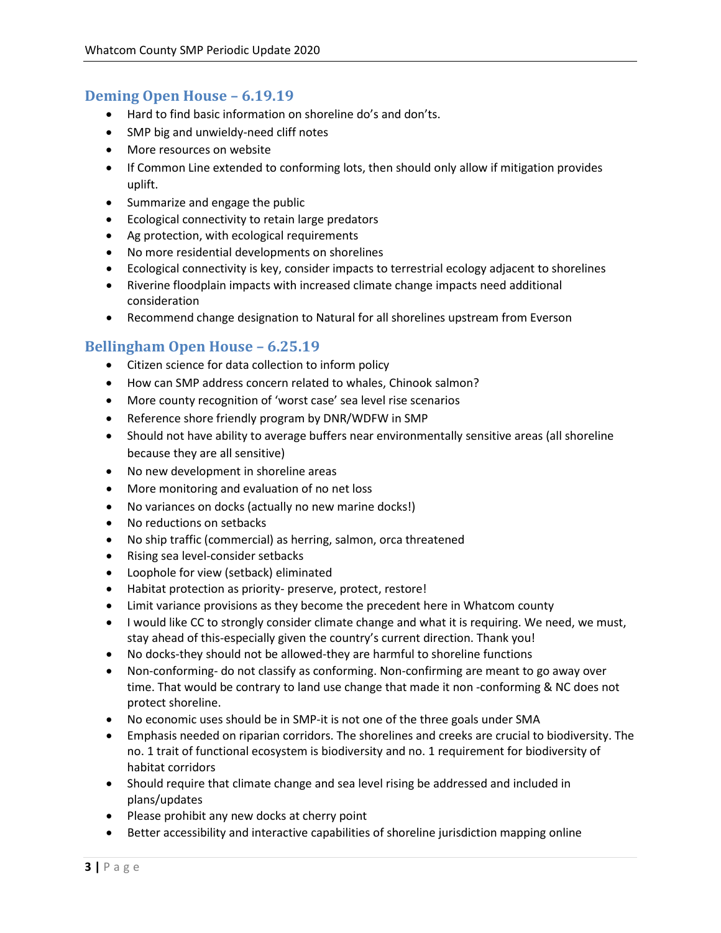#### **Deming Open House – 6.19.19**

- Hard to find basic information on shoreline do's and don'ts.
- SMP big and unwieldy-need cliff notes
- More resources on website
- If Common Line extended to conforming lots, then should only allow if mitigation provides uplift.
- Summarize and engage the public
- Ecological connectivity to retain large predators
- Ag protection, with ecological requirements
- No more residential developments on shorelines
- Ecological connectivity is key, consider impacts to terrestrial ecology adjacent to shorelines
- Riverine floodplain impacts with increased climate change impacts need additional consideration
- Recommend change designation to Natural for all shorelines upstream from Everson

#### **Bellingham Open House – 6.25.19**

- Citizen science for data collection to inform policy
- How can SMP address concern related to whales, Chinook salmon?
- More county recognition of 'worst case' sea level rise scenarios
- Reference shore friendly program by DNR/WDFW in SMP
- Should not have ability to average buffers near environmentally sensitive areas (all shoreline because they are all sensitive)
- No new development in shoreline areas
- More monitoring and evaluation of no net loss
- No variances on docks (actually no new marine docks!)
- No reductions on setbacks
- No ship traffic (commercial) as herring, salmon, orca threatened
- Rising sea level-consider setbacks
- Loophole for view (setback) eliminated
- Habitat protection as priority- preserve, protect, restore!
- Limit variance provisions as they become the precedent here in Whatcom county
- I would like CC to strongly consider climate change and what it is requiring. We need, we must, stay ahead of this-especially given the country's current direction. Thank you!
- No docks-they should not be allowed-they are harmful to shoreline functions
- Non-conforming- do not classify as conforming. Non-confirming are meant to go away over time. That would be contrary to land use change that made it non -conforming & NC does not protect shoreline.
- No economic uses should be in SMP-it is not one of the three goals under SMA
- Emphasis needed on riparian corridors. The shorelines and creeks are crucial to biodiversity. The no. 1 trait of functional ecosystem is biodiversity and no. 1 requirement for biodiversity of habitat corridors
- Should require that climate change and sea level rising be addressed and included in plans/updates
- Please prohibit any new docks at cherry point
- Better accessibility and interactive capabilities of shoreline jurisdiction mapping online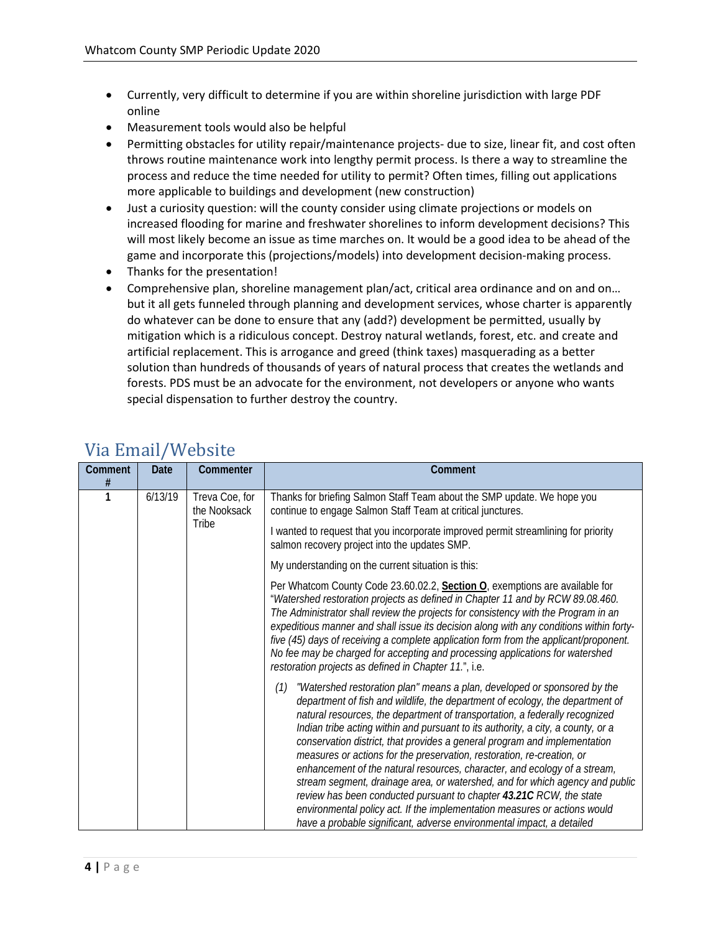- Currently, very difficult to determine if you are within shoreline jurisdiction with large PDF online
- Measurement tools would also be helpful
- Permitting obstacles for utility repair/maintenance projects- due to size, linear fit, and cost often throws routine maintenance work into lengthy permit process. Is there a way to streamline the process and reduce the time needed for utility to permit? Often times, filling out applications more applicable to buildings and development (new construction)
- Just a curiosity question: will the county consider using climate projections or models on increased flooding for marine and freshwater shorelines to inform development decisions? This will most likely become an issue as time marches on. It would be a good idea to be ahead of the game and incorporate this (projections/models) into development decision-making process.
- Thanks for the presentation!
- Comprehensive plan, shoreline management plan/act, critical area ordinance and on and on... but it all gets funneled through planning and development services, whose charter is apparently do whatever can be done to ensure that any (add?) development be permitted, usually by mitigation which is a ridiculous concept. Destroy natural wetlands, forest, etc. and create and artificial replacement. This is arrogance and greed (think taxes) masquerading as a better solution than hundreds of thousands of years of natural process that creates the wetlands and forests. PDS must be an advocate for the environment, not developers or anyone who wants special dispensation to further destroy the country.

| Comment<br># | <b>Date</b> | Commenter                               | Comment                                                                                                                                                                                                                                                                                                                                                                                                                                                                                                                                                                                                                                                                                                                                                                                                                                                                              |
|--------------|-------------|-----------------------------------------|--------------------------------------------------------------------------------------------------------------------------------------------------------------------------------------------------------------------------------------------------------------------------------------------------------------------------------------------------------------------------------------------------------------------------------------------------------------------------------------------------------------------------------------------------------------------------------------------------------------------------------------------------------------------------------------------------------------------------------------------------------------------------------------------------------------------------------------------------------------------------------------|
| 1            | 6/13/19     | Treva Coe, for<br>the Nooksack<br>Tribe | Thanks for briefing Salmon Staff Team about the SMP update. We hope you<br>continue to engage Salmon Staff Team at critical junctures.                                                                                                                                                                                                                                                                                                                                                                                                                                                                                                                                                                                                                                                                                                                                               |
|              |             |                                         | I wanted to request that you incorporate improved permit streamlining for priority<br>salmon recovery project into the updates SMP.                                                                                                                                                                                                                                                                                                                                                                                                                                                                                                                                                                                                                                                                                                                                                  |
|              |             |                                         | My understanding on the current situation is this:                                                                                                                                                                                                                                                                                                                                                                                                                                                                                                                                                                                                                                                                                                                                                                                                                                   |
|              |             |                                         | Per Whatcom County Code 23.60.02.2, Section O, exemptions are available for<br>"Watershed restoration projects as defined in Chapter 11 and by RCW 89.08.460.<br>The Administrator shall review the projects for consistency with the Program in an<br>expeditious manner and shall issue its decision along with any conditions within forty-<br>five (45) days of receiving a complete application form from the applicant/proponent.<br>No fee may be charged for accepting and processing applications for watershed<br>restoration projects as defined in Chapter 11.", i.e.                                                                                                                                                                                                                                                                                                    |
|              |             |                                         | "Watershed restoration plan" means a plan, developed or sponsored by the<br>(1)<br>department of fish and wildlife, the department of ecology, the department of<br>natural resources, the department of transportation, a federally recognized<br>Indian tribe acting within and pursuant to its authority, a city, a county, or a<br>conservation district, that provides a general program and implementation<br>measures or actions for the preservation, restoration, re-creation, or<br>enhancement of the natural resources, character, and ecology of a stream,<br>stream segment, drainage area, or watershed, and for which agency and public<br>review has been conducted pursuant to chapter 43.21C RCW, the state<br>environmental policy act. If the implementation measures or actions would<br>have a probable significant, adverse environmental impact, a detailed |

### Via Email/Website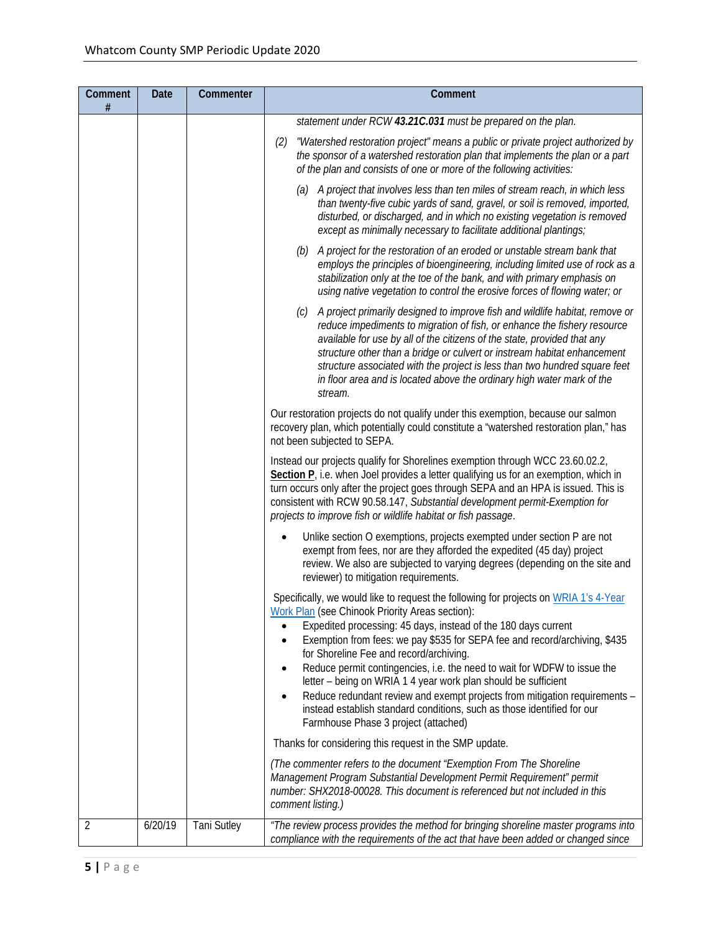| Comment<br>$\#$ | Date    | Commenter          | Comment                                                                                                                                                                                                                                                                                                                                                                                                                                                                                                                                                                                                                                             |
|-----------------|---------|--------------------|-----------------------------------------------------------------------------------------------------------------------------------------------------------------------------------------------------------------------------------------------------------------------------------------------------------------------------------------------------------------------------------------------------------------------------------------------------------------------------------------------------------------------------------------------------------------------------------------------------------------------------------------------------|
|                 |         |                    | statement under RCW 43.21C.031 must be prepared on the plan.                                                                                                                                                                                                                                                                                                                                                                                                                                                                                                                                                                                        |
|                 |         |                    | "Watershed restoration project" means a public or private project authorized by<br>(2)<br>the sponsor of a watershed restoration plan that implements the plan or a part<br>of the plan and consists of one or more of the following activities:                                                                                                                                                                                                                                                                                                                                                                                                    |
|                 |         |                    | (a) A project that involves less than ten miles of stream reach, in which less<br>than twenty-five cubic yards of sand, gravel, or soil is removed, imported,<br>disturbed, or discharged, and in which no existing vegetation is removed<br>except as minimally necessary to facilitate additional plantings;                                                                                                                                                                                                                                                                                                                                      |
|                 |         |                    | (b) A project for the restoration of an eroded or unstable stream bank that<br>employs the principles of bioengineering, including limited use of rock as a<br>stabilization only at the toe of the bank, and with primary emphasis on<br>using native vegetation to control the erosive forces of flowing water; or                                                                                                                                                                                                                                                                                                                                |
|                 |         |                    | A project primarily designed to improve fish and wildlife habitat, remove or<br>(c)<br>reduce impediments to migration of fish, or enhance the fishery resource<br>available for use by all of the citizens of the state, provided that any<br>structure other than a bridge or culvert or instream habitat enhancement<br>structure associated with the project is less than two hundred square feet<br>in floor area and is located above the ordinary high water mark of the<br>stream.                                                                                                                                                          |
|                 |         |                    | Our restoration projects do not qualify under this exemption, because our salmon<br>recovery plan, which potentially could constitute a "watershed restoration plan," has<br>not been subjected to SEPA.                                                                                                                                                                                                                                                                                                                                                                                                                                            |
|                 |         |                    | Instead our projects qualify for Shorelines exemption through WCC 23.60.02.2,<br>Section P <sub>r</sub> i.e. when Joel provides a letter qualifying us for an exemption, which in<br>turn occurs only after the project goes through SEPA and an HPA is issued. This is<br>consistent with RCW 90.58.147, Substantial development permit-Exemption for<br>projects to improve fish or wildlife habitat or fish passage.                                                                                                                                                                                                                             |
|                 |         |                    | Unlike section O exemptions, projects exempted under section P are not<br>٠<br>exempt from fees, nor are they afforded the expedited (45 day) project<br>review. We also are subjected to varying degrees (depending on the site and<br>reviewer) to mitigation requirements.                                                                                                                                                                                                                                                                                                                                                                       |
|                 |         |                    | Specifically, we would like to request the following for projects on WRIA 1's 4-Year<br>Work Plan (see Chinook Priority Areas section):<br>Expedited processing: 45 days, instead of the 180 days current<br>Exemption from fees: we pay \$535 for SEPA fee and record/archiving, \$435<br>for Shoreline Fee and record/archiving.<br>Reduce permit contingencies, i.e. the need to wait for WDFW to issue the<br>٠<br>letter - being on WRIA 1 4 year work plan should be sufficient<br>Reduce redundant review and exempt projects from mitigation requirements -<br>٠<br>instead establish standard conditions, such as those identified for our |
|                 |         |                    | Farmhouse Phase 3 project (attached)                                                                                                                                                                                                                                                                                                                                                                                                                                                                                                                                                                                                                |
|                 |         |                    | Thanks for considering this request in the SMP update.                                                                                                                                                                                                                                                                                                                                                                                                                                                                                                                                                                                              |
|                 |         |                    | (The commenter refers to the document "Exemption From The Shoreline<br>Management Program Substantial Development Permit Requirement" permit<br>number: SHX2018-00028. This document is referenced but not included in this<br>comment listing.)                                                                                                                                                                                                                                                                                                                                                                                                    |
| 2               | 6/20/19 | <b>Tani Sutley</b> | "The review process provides the method for bringing shoreline master programs into<br>compliance with the requirements of the act that have been added or changed since                                                                                                                                                                                                                                                                                                                                                                                                                                                                            |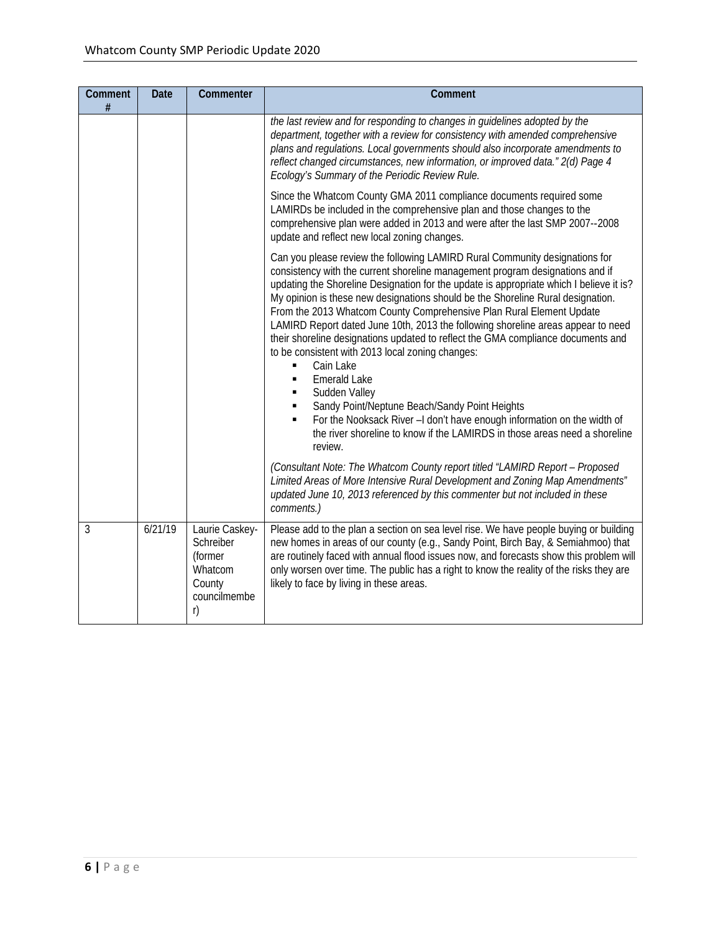| Comment<br># | <b>Date</b> | Commenter                                                                         | Comment                                                                                                                                                                                                                                                                                                                                                                                                                                                                                                                                                                                                                                                                                                                                                                                                                                                                                                                                         |
|--------------|-------------|-----------------------------------------------------------------------------------|-------------------------------------------------------------------------------------------------------------------------------------------------------------------------------------------------------------------------------------------------------------------------------------------------------------------------------------------------------------------------------------------------------------------------------------------------------------------------------------------------------------------------------------------------------------------------------------------------------------------------------------------------------------------------------------------------------------------------------------------------------------------------------------------------------------------------------------------------------------------------------------------------------------------------------------------------|
|              |             |                                                                                   | the last review and for responding to changes in guidelines adopted by the<br>department, together with a review for consistency with amended comprehensive<br>plans and regulations. Local governments should also incorporate amendments to<br>reflect changed circumstances, new information, or improved data." 2(d) Page 4<br>Ecology's Summary of the Periodic Review Rule.                                                                                                                                                                                                                                                                                                                                                                                                                                                                                                                                                               |
|              |             |                                                                                   | Since the Whatcom County GMA 2011 compliance documents required some<br>LAMIRDs be included in the comprehensive plan and those changes to the<br>comprehensive plan were added in 2013 and were after the last SMP 2007--2008<br>update and reflect new local zoning changes.                                                                                                                                                                                                                                                                                                                                                                                                                                                                                                                                                                                                                                                                  |
|              |             |                                                                                   | Can you please review the following LAMIRD Rural Community designations for<br>consistency with the current shoreline management program designations and if<br>updating the Shoreline Designation for the update is appropriate which I believe it is?<br>My opinion is these new designations should be the Shoreline Rural designation.<br>From the 2013 Whatcom County Comprehensive Plan Rural Element Update<br>LAMIRD Report dated June 10th, 2013 the following shoreline areas appear to need<br>their shoreline designations updated to reflect the GMA compliance documents and<br>to be consistent with 2013 local zoning changes:<br>Cain Lake<br>$\blacksquare$<br><b>Emerald Lake</b><br>п<br>Sudden Valley<br>Sandy Point/Neptune Beach/Sandy Point Heights<br>For the Nooksack River -I don't have enough information on the width of<br>the river shoreline to know if the LAMIRDS in those areas need a shoreline<br>review. |
|              |             |                                                                                   | (Consultant Note: The Whatcom County report titled "LAMIRD Report - Proposed<br>Limited Areas of More Intensive Rural Development and Zoning Map Amendments"<br>updated June 10, 2013 referenced by this commenter but not included in these<br>comments.)                                                                                                                                                                                                                                                                                                                                                                                                                                                                                                                                                                                                                                                                                      |
| 3            | 6/21/19     | Laurie Caskey-<br>Schreiber<br>(former<br>Whatcom<br>County<br>councilmembe<br>r) | Please add to the plan a section on sea level rise. We have people buying or building<br>new homes in areas of our county (e.g., Sandy Point, Birch Bay, & Semiahmoo) that<br>are routinely faced with annual flood issues now, and forecasts show this problem will<br>only worsen over time. The public has a right to know the reality of the risks they are<br>likely to face by living in these areas.                                                                                                                                                                                                                                                                                                                                                                                                                                                                                                                                     |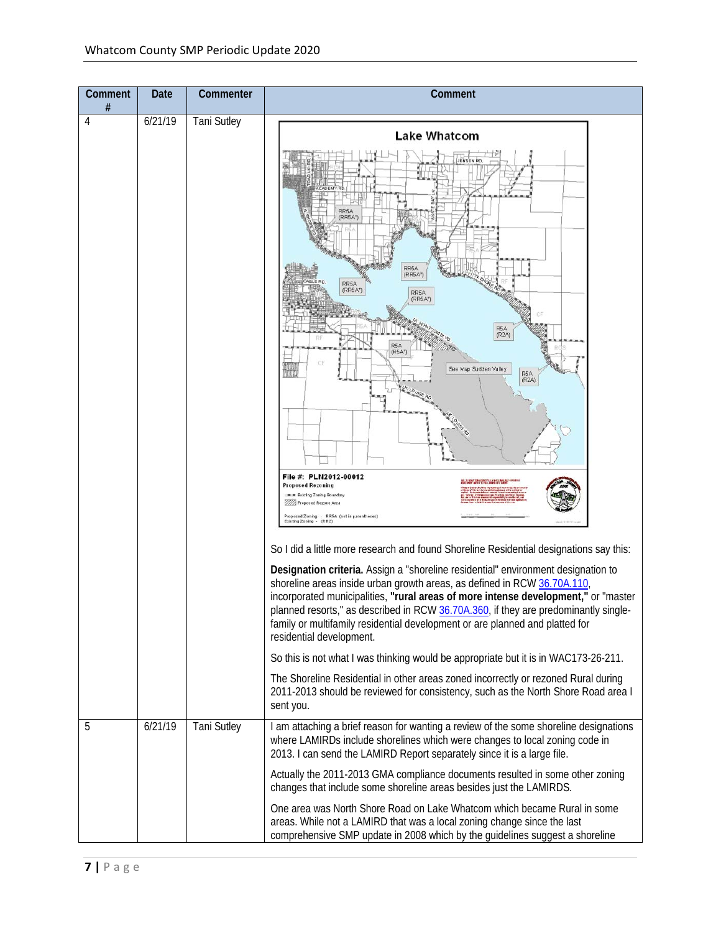| Comment<br># | Date    | Commenter          | Comment                                                                                                                                                                                                                                                                                                                                                                                                                                                                                                                                                                                                                                                                                                                                                                                                                                                                                                                                                                                                                                                                                                                                                                                                                                                                                                           |
|--------------|---------|--------------------|-------------------------------------------------------------------------------------------------------------------------------------------------------------------------------------------------------------------------------------------------------------------------------------------------------------------------------------------------------------------------------------------------------------------------------------------------------------------------------------------------------------------------------------------------------------------------------------------------------------------------------------------------------------------------------------------------------------------------------------------------------------------------------------------------------------------------------------------------------------------------------------------------------------------------------------------------------------------------------------------------------------------------------------------------------------------------------------------------------------------------------------------------------------------------------------------------------------------------------------------------------------------------------------------------------------------|
| 4            | 6/21/19 | <b>Tani Sutley</b> | <b>Lake Whatcom</b><br>RR5A<br>(RR5A*)<br>RR5A<br>(RR5A*)<br>RR <sub>5</sub> A<br>(RR5A*)<br>RR5A<br>(RR5A)<br>R5A<br>(R2A)<br>(R5A*)<br>See Map Sudden Valley<br>R5A<br>(R2A)<br>File #: PLN2012-00012<br>ERE DE MONATORI COLORADO EL BISTA INVENIDO DEL ENERGIO<br>ENGLIMENTO DE PEL PEL LOMBRIA DE CIDANT<br><b>Proposed Rezoning</b><br>单单 Existing Zoning Boundary<br>112 Proposed Rezone Area<br>Proposed Zoning - RR5A (not in parentheses)<br>Existing Zoning<br>(RR2)<br>So I did a little more research and found Shoreline Residential designations say this:<br>Designation criteria. Assign a "shoreline residential" environment designation to<br>shoreline areas inside urban growth areas, as defined in RCW 36.70A.110,<br>incorporated municipalities, "rural areas of more intense development," or "master<br>planned resorts," as described in RCW 36.70A.360, if they are predominantly single-<br>family or multifamily residential development or are planned and platted for<br>residential development.<br>So this is not what I was thinking would be appropriate but it is in WAC173-26-211.<br>The Shoreline Residential in other areas zoned incorrectly or rezoned Rural during<br>2011-2013 should be reviewed for consistency, such as the North Shore Road area I<br>sent you. |
| 5            | 6/21/19 | <b>Tani Sutley</b> | I am attaching a brief reason for wanting a review of the some shoreline designations<br>where LAMIRDs include shorelines which were changes to local zoning code in<br>2013. I can send the LAMIRD Report separately since it is a large file.                                                                                                                                                                                                                                                                                                                                                                                                                                                                                                                                                                                                                                                                                                                                                                                                                                                                                                                                                                                                                                                                   |
|              |         |                    | Actually the 2011-2013 GMA compliance documents resulted in some other zoning<br>changes that include some shoreline areas besides just the LAMIRDS.                                                                                                                                                                                                                                                                                                                                                                                                                                                                                                                                                                                                                                                                                                                                                                                                                                                                                                                                                                                                                                                                                                                                                              |
|              |         |                    | One area was North Shore Road on Lake Whatcom which became Rural in some<br>areas. While not a LAMIRD that was a local zoning change since the last<br>comprehensive SMP update in 2008 which by the guidelines suggest a shoreline                                                                                                                                                                                                                                                                                                                                                                                                                                                                                                                                                                                                                                                                                                                                                                                                                                                                                                                                                                                                                                                                               |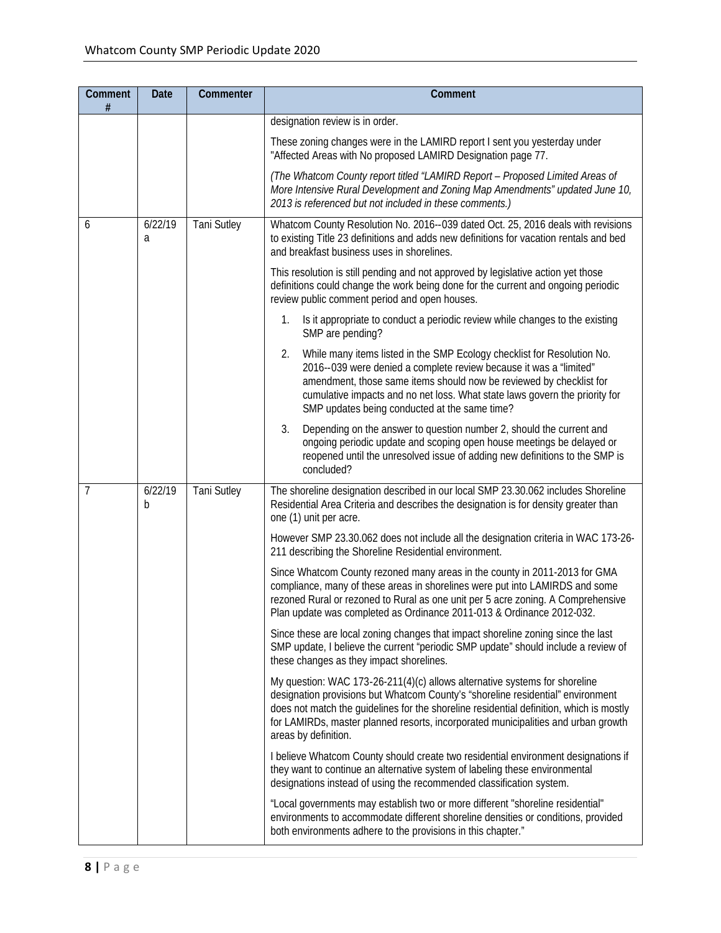| Comment<br>#   | <b>Date</b>  | Commenter          | Comment                                                                                                                                                                                                                                                                                                                                                               |
|----------------|--------------|--------------------|-----------------------------------------------------------------------------------------------------------------------------------------------------------------------------------------------------------------------------------------------------------------------------------------------------------------------------------------------------------------------|
|                |              |                    | designation review is in order.                                                                                                                                                                                                                                                                                                                                       |
|                |              |                    | These zoning changes were in the LAMIRD report I sent you yesterday under<br>"Affected Areas with No proposed LAMIRD Designation page 77.                                                                                                                                                                                                                             |
|                |              |                    | (The Whatcom County report titled "LAMIRD Report - Proposed Limited Areas of<br>More Intensive Rural Development and Zoning Map Amendments" updated June 10,<br>2013 is referenced but not included in these comments.)                                                                                                                                               |
| 6              | 6/22/19<br>a | <b>Tani Sutley</b> | Whatcom County Resolution No. 2016--039 dated Oct. 25, 2016 deals with revisions<br>to existing Title 23 definitions and adds new definitions for vacation rentals and bed<br>and breakfast business uses in shorelines.                                                                                                                                              |
|                |              |                    | This resolution is still pending and not approved by legislative action yet those<br>definitions could change the work being done for the current and ongoing periodic<br>review public comment period and open houses.                                                                                                                                               |
|                |              |                    | Is it appropriate to conduct a periodic review while changes to the existing<br>1.<br>SMP are pending?                                                                                                                                                                                                                                                                |
|                |              |                    | 2.<br>While many items listed in the SMP Ecology checklist for Resolution No.<br>2016--039 were denied a complete review because it was a "limited"<br>amendment, those same items should now be reviewed by checklist for<br>cumulative impacts and no net loss. What state laws govern the priority for<br>SMP updates being conducted at the same time?            |
|                |              |                    | 3.<br>Depending on the answer to question number 2, should the current and<br>ongoing periodic update and scoping open house meetings be delayed or<br>reopened until the unresolved issue of adding new definitions to the SMP is<br>concluded?                                                                                                                      |
| $\overline{7}$ | 6/22/19<br>b | <b>Tani Sutley</b> | The shoreline designation described in our local SMP 23.30.062 includes Shoreline<br>Residential Area Criteria and describes the designation is for density greater than<br>one (1) unit per acre.                                                                                                                                                                    |
|                |              |                    | However SMP 23.30.062 does not include all the designation criteria in WAC 173-26-<br>211 describing the Shoreline Residential environment.                                                                                                                                                                                                                           |
|                |              |                    | Since Whatcom County rezoned many areas in the county in 2011-2013 for GMA<br>compliance, many of these areas in shorelines were put into LAMIRDS and some<br>rezoned Rural or rezoned to Rural as one unit per 5 acre zoning. A Comprehensive<br>Plan update was completed as Ordinance 2011-013 & Ordinance 2012-032.                                               |
|                |              |                    | Since these are local zoning changes that impact shoreline zoning since the last<br>SMP update, I believe the current "periodic SMP update" should include a review of<br>these changes as they impact shorelines.                                                                                                                                                    |
|                |              |                    | My question: WAC 173-26-211(4)(c) allows alternative systems for shoreline<br>designation provisions but Whatcom County's "shoreline residential" environment<br>does not match the guidelines for the shoreline residential definition, which is mostly<br>for LAMIRDs, master planned resorts, incorporated municipalities and urban growth<br>areas by definition. |
|                |              |                    | I believe Whatcom County should create two residential environment designations if<br>they want to continue an alternative system of labeling these environmental<br>designations instead of using the recommended classification system.                                                                                                                             |
|                |              |                    | "Local governments may establish two or more different "shoreline residential"<br>environments to accommodate different shoreline densities or conditions, provided<br>both environments adhere to the provisions in this chapter."                                                                                                                                   |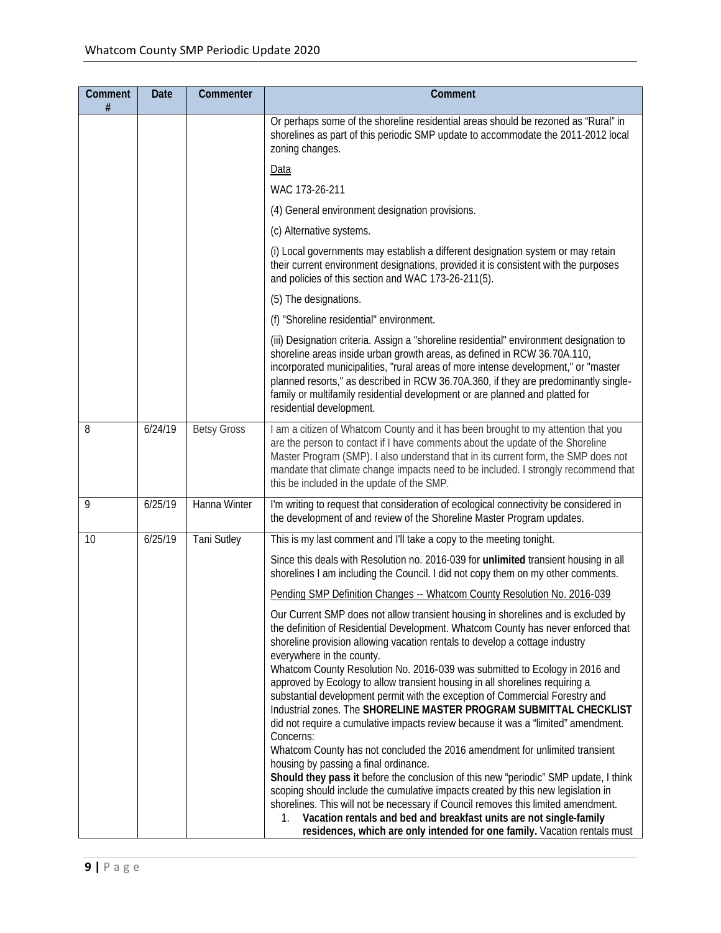| Comment<br># | <b>Date</b> | Commenter          | Comment                                                                                                                                                                                                                                                                                                                                                                                                                                                                                                                                                                                                                                                                                                                                                                                                                                                                                                                                                                                                                                                                                                                                                                                                                                                     |
|--------------|-------------|--------------------|-------------------------------------------------------------------------------------------------------------------------------------------------------------------------------------------------------------------------------------------------------------------------------------------------------------------------------------------------------------------------------------------------------------------------------------------------------------------------------------------------------------------------------------------------------------------------------------------------------------------------------------------------------------------------------------------------------------------------------------------------------------------------------------------------------------------------------------------------------------------------------------------------------------------------------------------------------------------------------------------------------------------------------------------------------------------------------------------------------------------------------------------------------------------------------------------------------------------------------------------------------------|
|              |             |                    | Or perhaps some of the shoreline residential areas should be rezoned as "Rural" in<br>shorelines as part of this periodic SMP update to accommodate the 2011-2012 local<br>zoning changes.                                                                                                                                                                                                                                                                                                                                                                                                                                                                                                                                                                                                                                                                                                                                                                                                                                                                                                                                                                                                                                                                  |
|              |             |                    | Data                                                                                                                                                                                                                                                                                                                                                                                                                                                                                                                                                                                                                                                                                                                                                                                                                                                                                                                                                                                                                                                                                                                                                                                                                                                        |
|              |             |                    | WAC 173-26-211                                                                                                                                                                                                                                                                                                                                                                                                                                                                                                                                                                                                                                                                                                                                                                                                                                                                                                                                                                                                                                                                                                                                                                                                                                              |
|              |             |                    | (4) General environment designation provisions.                                                                                                                                                                                                                                                                                                                                                                                                                                                                                                                                                                                                                                                                                                                                                                                                                                                                                                                                                                                                                                                                                                                                                                                                             |
|              |             |                    | (c) Alternative systems.                                                                                                                                                                                                                                                                                                                                                                                                                                                                                                                                                                                                                                                                                                                                                                                                                                                                                                                                                                                                                                                                                                                                                                                                                                    |
|              |             |                    | (i) Local governments may establish a different designation system or may retain<br>their current environment designations, provided it is consistent with the purposes<br>and policies of this section and WAC 173-26-211(5).                                                                                                                                                                                                                                                                                                                                                                                                                                                                                                                                                                                                                                                                                                                                                                                                                                                                                                                                                                                                                              |
|              |             |                    | (5) The designations.                                                                                                                                                                                                                                                                                                                                                                                                                                                                                                                                                                                                                                                                                                                                                                                                                                                                                                                                                                                                                                                                                                                                                                                                                                       |
|              |             |                    | (f) "Shoreline residential" environment.                                                                                                                                                                                                                                                                                                                                                                                                                                                                                                                                                                                                                                                                                                                                                                                                                                                                                                                                                                                                                                                                                                                                                                                                                    |
|              |             |                    | (iii) Designation criteria. Assign a "shoreline residential" environment designation to<br>shoreline areas inside urban growth areas, as defined in RCW 36.70A.110,<br>incorporated municipalities, "rural areas of more intense development," or "master<br>planned resorts," as described in RCW 36.70A.360, if they are predominantly single-<br>family or multifamily residential development or are planned and platted for<br>residential development.                                                                                                                                                                                                                                                                                                                                                                                                                                                                                                                                                                                                                                                                                                                                                                                                |
| 8            | 6/24/19     | <b>Betsy Gross</b> | I am a citizen of Whatcom County and it has been brought to my attention that you<br>are the person to contact if I have comments about the update of the Shoreline<br>Master Program (SMP). I also understand that in its current form, the SMP does not<br>mandate that climate change impacts need to be included. I strongly recommend that<br>this be included in the update of the SMP.                                                                                                                                                                                                                                                                                                                                                                                                                                                                                                                                                                                                                                                                                                                                                                                                                                                               |
| 9            | 6/25/19     | Hanna Winter       | I'm writing to request that consideration of ecological connectivity be considered in<br>the development of and review of the Shoreline Master Program updates.                                                                                                                                                                                                                                                                                                                                                                                                                                                                                                                                                                                                                                                                                                                                                                                                                                                                                                                                                                                                                                                                                             |
| 10           | 6/25/19     | <b>Tani Sutley</b> | This is my last comment and I'll take a copy to the meeting tonight.                                                                                                                                                                                                                                                                                                                                                                                                                                                                                                                                                                                                                                                                                                                                                                                                                                                                                                                                                                                                                                                                                                                                                                                        |
|              |             |                    | Since this deals with Resolution no. 2016-039 for unlimited transient housing in all<br>shorelines I am including the Council. I did not copy them on my other comments.                                                                                                                                                                                                                                                                                                                                                                                                                                                                                                                                                                                                                                                                                                                                                                                                                                                                                                                                                                                                                                                                                    |
|              |             |                    | Pending SMP Definition Changes -- Whatcom County Resolution No. 2016-039                                                                                                                                                                                                                                                                                                                                                                                                                                                                                                                                                                                                                                                                                                                                                                                                                                                                                                                                                                                                                                                                                                                                                                                    |
|              |             |                    | Our Current SMP does not allow transient housing in shorelines and is excluded by<br>the definition of Residential Development. Whatcom County has never enforced that<br>shoreline provision allowing vacation rentals to develop a cottage industry<br>everywhere in the county.<br>Whatcom County Resolution No. 2016-039 was submitted to Ecology in 2016 and<br>approved by Ecology to allow transient housing in all shorelines requiring a<br>substantial development permit with the exception of Commercial Forestry and<br>Industrial zones. The SHORELINE MASTER PROGRAM SUBMITTAL CHECKLIST<br>did not require a cumulative impacts review because it was a "limited" amendment.<br>Concerns:<br>Whatcom County has not concluded the 2016 amendment for unlimited transient<br>housing by passing a final ordinance.<br>Should they pass it before the conclusion of this new "periodic" SMP update, I think<br>scoping should include the cumulative impacts created by this new legislation in<br>shorelines. This will not be necessary if Council removes this limited amendment.<br>Vacation rentals and bed and breakfast units are not single-family<br>1.<br>residences, which are only intended for one family. Vacation rentals must |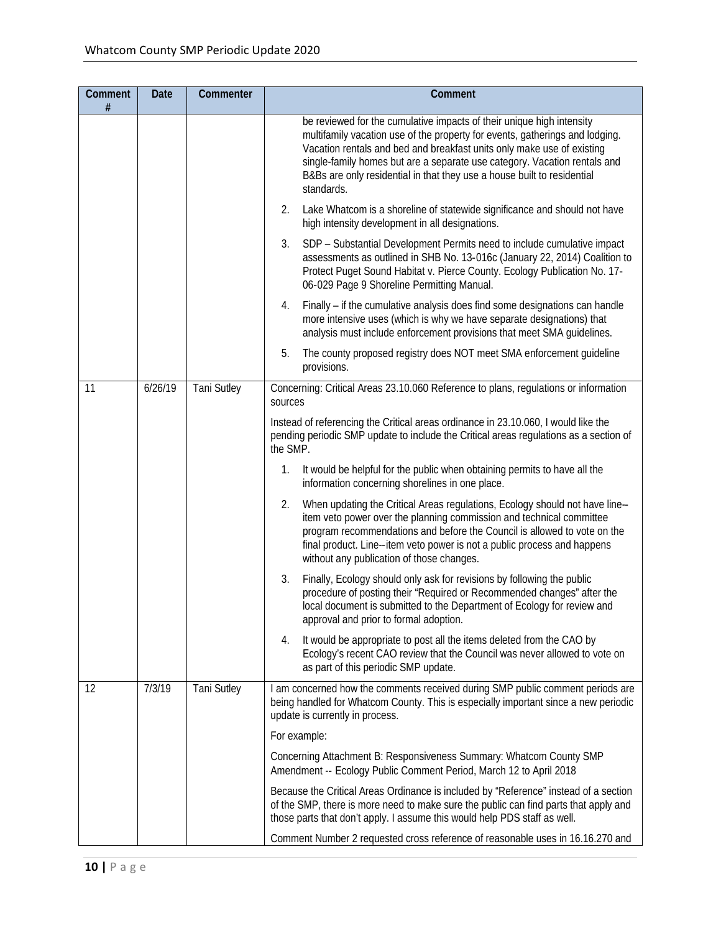| Comment<br># | <b>Date</b> | Commenter          | Comment                                                                                                                                                                                                                                                                                                                                                                                               |
|--------------|-------------|--------------------|-------------------------------------------------------------------------------------------------------------------------------------------------------------------------------------------------------------------------------------------------------------------------------------------------------------------------------------------------------------------------------------------------------|
|              |             |                    | be reviewed for the cumulative impacts of their unique high intensity<br>multifamily vacation use of the property for events, gatherings and lodging.<br>Vacation rentals and bed and breakfast units only make use of existing<br>single-family homes but are a separate use category. Vacation rentals and<br>B&Bs are only residential in that they use a house built to residential<br>standards. |
|              |             |                    | Lake Whatcom is a shoreline of statewide significance and should not have<br>2.<br>high intensity development in all designations.                                                                                                                                                                                                                                                                    |
|              |             |                    | SDP - Substantial Development Permits need to include cumulative impact<br>3.<br>assessments as outlined in SHB No. 13-016c (January 22, 2014) Coalition to<br>Protect Puget Sound Habitat v. Pierce County. Ecology Publication No. 17-<br>06-029 Page 9 Shoreline Permitting Manual.                                                                                                                |
|              |             |                    | Finally – if the cumulative analysis does find some designations can handle<br>4.<br>more intensive uses (which is why we have separate designations) that<br>analysis must include enforcement provisions that meet SMA guidelines.                                                                                                                                                                  |
|              |             |                    | The county proposed registry does NOT meet SMA enforcement guideline<br>5.<br>provisions.                                                                                                                                                                                                                                                                                                             |
| 11           | 6/26/19     | <b>Tani Sutley</b> | Concerning: Critical Areas 23.10.060 Reference to plans, regulations or information<br>sources                                                                                                                                                                                                                                                                                                        |
|              |             |                    | Instead of referencing the Critical areas ordinance in 23.10.060, I would like the<br>pending periodic SMP update to include the Critical areas regulations as a section of<br>the SMP.                                                                                                                                                                                                               |
|              |             |                    | It would be helpful for the public when obtaining permits to have all the<br>1.<br>information concerning shorelines in one place.                                                                                                                                                                                                                                                                    |
|              |             |                    | When updating the Critical Areas regulations, Ecology should not have line--<br>2.<br>item veto power over the planning commission and technical committee<br>program recommendations and before the Council is allowed to vote on the<br>final product. Line--item veto power is not a public process and happens<br>without any publication of those changes.                                       |
|              |             |                    | 3.<br>Finally, Ecology should only ask for revisions by following the public<br>procedure of posting their "Required or Recommended changes" after the<br>local document is submitted to the Department of Ecology for review and<br>approval and prior to formal adoption.                                                                                                                           |
|              |             |                    | It would be appropriate to post all the items deleted from the CAO by<br>4.<br>Ecology's recent CAO review that the Council was never allowed to vote on<br>as part of this periodic SMP update.                                                                                                                                                                                                      |
| 12           | 7/3/19      | <b>Tani Sutley</b> | I am concerned how the comments received during SMP public comment periods are<br>being handled for Whatcom County. This is especially important since a new periodic<br>update is currently in process.                                                                                                                                                                                              |
|              |             |                    | For example:                                                                                                                                                                                                                                                                                                                                                                                          |
|              |             |                    | Concerning Attachment B: Responsiveness Summary: Whatcom County SMP<br>Amendment -- Ecology Public Comment Period, March 12 to April 2018                                                                                                                                                                                                                                                             |
|              |             |                    | Because the Critical Areas Ordinance is included by "Reference" instead of a section<br>of the SMP, there is more need to make sure the public can find parts that apply and<br>those parts that don't apply. I assume this would help PDS staff as well.                                                                                                                                             |
|              |             |                    | Comment Number 2 requested cross reference of reasonable uses in 16.16.270 and                                                                                                                                                                                                                                                                                                                        |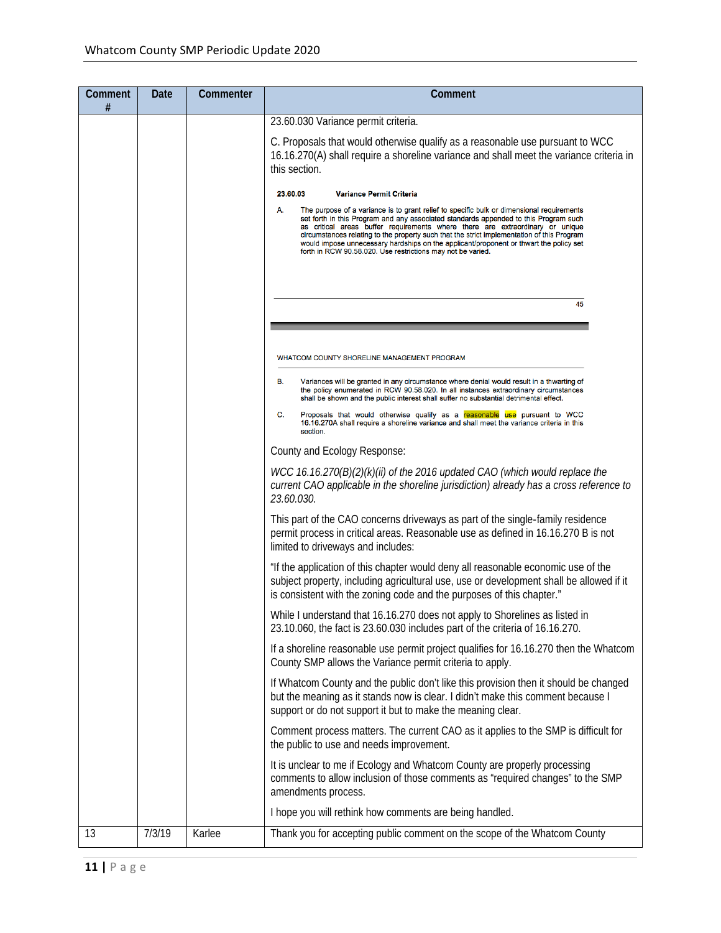| Comment<br># | Date   | Commenter | Comment                                                                                                                                                                                                                                                                                                                                                                                                                                                                                                                         |
|--------------|--------|-----------|---------------------------------------------------------------------------------------------------------------------------------------------------------------------------------------------------------------------------------------------------------------------------------------------------------------------------------------------------------------------------------------------------------------------------------------------------------------------------------------------------------------------------------|
|              |        |           | 23.60.030 Variance permit criteria.                                                                                                                                                                                                                                                                                                                                                                                                                                                                                             |
|              |        |           | C. Proposals that would otherwise qualify as a reasonable use pursuant to WCC<br>16.16.270(A) shall require a shoreline variance and shall meet the variance criteria in<br>this section.                                                                                                                                                                                                                                                                                                                                       |
|              |        |           | 23.60.03<br><b>Variance Permit Criteria</b>                                                                                                                                                                                                                                                                                                                                                                                                                                                                                     |
|              |        |           | А.<br>The purpose of a variance is to grant relief to specific bulk or dimensional requirements<br>set forth in this Program and any associated standards appended to this Program such<br>as critical areas buffer requirements where there are extraordinary or unique<br>circumstances relating to the property such that the strict implementation of this Program<br>would impose unnecessary hardships on the applicant/proponent or thwart the policy set<br>forth in RCW 90.58.020. Use restrictions may not be varied. |
|              |        |           | 45                                                                                                                                                                                                                                                                                                                                                                                                                                                                                                                              |
|              |        |           |                                                                                                                                                                                                                                                                                                                                                                                                                                                                                                                                 |
|              |        |           | WHATCOM COUNTY SHORELINE MANAGEMENT PROGRAM                                                                                                                                                                                                                                                                                                                                                                                                                                                                                     |
|              |        |           | В.<br>Variances will be granted in any circumstance where denial would result in a thwarting of<br>the policy enumerated in RCW 90.58.020. In all instances extraordinary circumstances<br>shall be shown and the public interest shall suffer no substantial detrimental effect.                                                                                                                                                                                                                                               |
|              |        |           | C.<br>Proposals that would otherwise qualify as a reasonable use pursuant to WCC<br>16.16.270A shall require a shoreline variance and shall meet the variance criteria in this<br>section.                                                                                                                                                                                                                                                                                                                                      |
|              |        |           | County and Ecology Response:                                                                                                                                                                                                                                                                                                                                                                                                                                                                                                    |
|              |        |           | WCC 16.16.270(B)(2)(k)(ii) of the 2016 updated CAO (which would replace the<br>current CAO applicable in the shoreline jurisdiction) already has a cross reference to<br>23.60.030.                                                                                                                                                                                                                                                                                                                                             |
|              |        |           | This part of the CAO concerns driveways as part of the single-family residence<br>permit process in critical areas. Reasonable use as defined in 16.16.270 B is not<br>limited to driveways and includes:                                                                                                                                                                                                                                                                                                                       |
|              |        |           | "If the application of this chapter would deny all reasonable economic use of the<br>subject property, including agricultural use, use or development shall be allowed if it<br>is consistent with the zoning code and the purposes of this chapter."                                                                                                                                                                                                                                                                           |
|              |        |           | While I understand that 16.16.270 does not apply to Shorelines as listed in<br>23.10.060, the fact is 23.60.030 includes part of the criteria of 16.16.270.                                                                                                                                                                                                                                                                                                                                                                     |
|              |        |           | If a shoreline reasonable use permit project qualifies for 16.16.270 then the Whatcom<br>County SMP allows the Variance permit criteria to apply.                                                                                                                                                                                                                                                                                                                                                                               |
|              |        |           | If Whatcom County and the public don't like this provision then it should be changed<br>but the meaning as it stands now is clear. I didn't make this comment because I<br>support or do not support it but to make the meaning clear.                                                                                                                                                                                                                                                                                          |
|              |        |           | Comment process matters. The current CAO as it applies to the SMP is difficult for<br>the public to use and needs improvement.                                                                                                                                                                                                                                                                                                                                                                                                  |
|              |        |           | It is unclear to me if Ecology and Whatcom County are properly processing<br>comments to allow inclusion of those comments as "required changes" to the SMP<br>amendments process.                                                                                                                                                                                                                                                                                                                                              |
|              |        |           | I hope you will rethink how comments are being handled.                                                                                                                                                                                                                                                                                                                                                                                                                                                                         |
| 13           | 7/3/19 | Karlee    | Thank you for accepting public comment on the scope of the Whatcom County                                                                                                                                                                                                                                                                                                                                                                                                                                                       |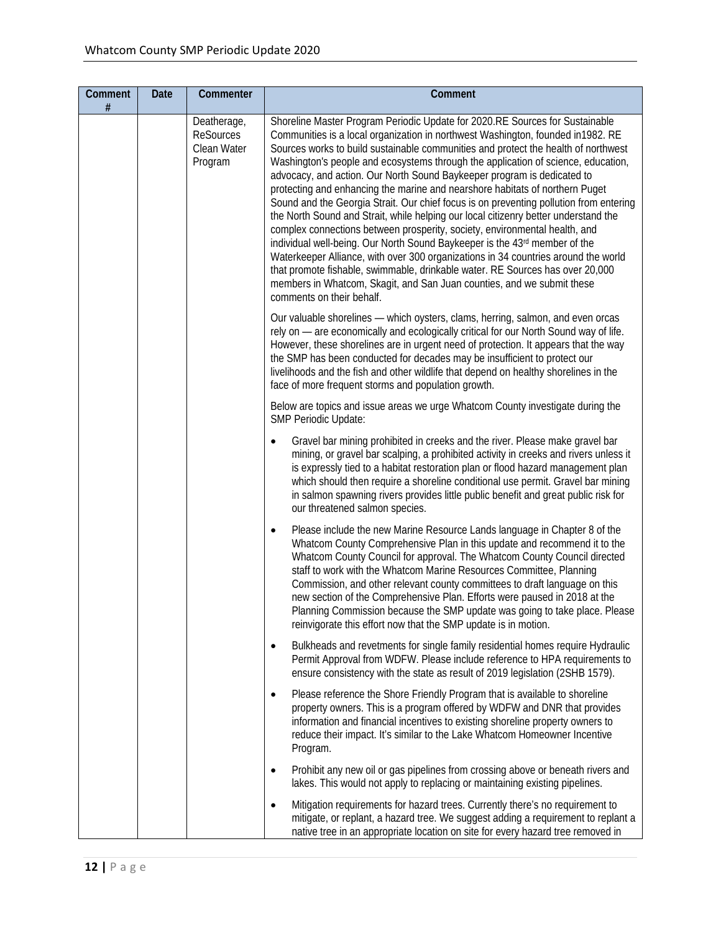| Comment<br># | <b>Date</b> | Commenter                                                 | Comment                                                                                                                                                                                                                                                                                                                                                                                                                                                                                                                                                                                                                                                                                                                                                                                                                                                                                                                                                                                                                                                                                                                           |
|--------------|-------------|-----------------------------------------------------------|-----------------------------------------------------------------------------------------------------------------------------------------------------------------------------------------------------------------------------------------------------------------------------------------------------------------------------------------------------------------------------------------------------------------------------------------------------------------------------------------------------------------------------------------------------------------------------------------------------------------------------------------------------------------------------------------------------------------------------------------------------------------------------------------------------------------------------------------------------------------------------------------------------------------------------------------------------------------------------------------------------------------------------------------------------------------------------------------------------------------------------------|
|              |             | Deatherage,<br><b>ReSources</b><br>Clean Water<br>Program | Shoreline Master Program Periodic Update for 2020.RE Sources for Sustainable<br>Communities is a local organization in northwest Washington, founded in 1982. RE<br>Sources works to build sustainable communities and protect the health of northwest<br>Washington's people and ecosystems through the application of science, education,<br>advocacy, and action. Our North Sound Baykeeper program is dedicated to<br>protecting and enhancing the marine and nearshore habitats of northern Puget<br>Sound and the Georgia Strait. Our chief focus is on preventing pollution from entering<br>the North Sound and Strait, while helping our local citizenry better understand the<br>complex connections between prosperity, society, environmental health, and<br>individual well-being. Our North Sound Baykeeper is the 43rd member of the<br>Waterkeeper Alliance, with over 300 organizations in 34 countries around the world<br>that promote fishable, swimmable, drinkable water. RE Sources has over 20,000<br>members in Whatcom, Skagit, and San Juan counties, and we submit these<br>comments on their behalf. |
|              |             |                                                           | Our valuable shorelines - which oysters, clams, herring, salmon, and even orcas<br>rely on - are economically and ecologically critical for our North Sound way of life.<br>However, these shorelines are in urgent need of protection. It appears that the way<br>the SMP has been conducted for decades may be insufficient to protect our<br>livelihoods and the fish and other wildlife that depend on healthy shorelines in the<br>face of more frequent storms and population growth.                                                                                                                                                                                                                                                                                                                                                                                                                                                                                                                                                                                                                                       |
|              |             |                                                           | Below are topics and issue areas we urge Whatcom County investigate during the<br>SMP Periodic Update:                                                                                                                                                                                                                                                                                                                                                                                                                                                                                                                                                                                                                                                                                                                                                                                                                                                                                                                                                                                                                            |
|              |             |                                                           | Gravel bar mining prohibited in creeks and the river. Please make gravel bar<br>mining, or gravel bar scalping, a prohibited activity in creeks and rivers unless it<br>is expressly tied to a habitat restoration plan or flood hazard management plan<br>which should then require a shoreline conditional use permit. Gravel bar mining<br>in salmon spawning rivers provides little public benefit and great public risk for<br>our threatened salmon species.                                                                                                                                                                                                                                                                                                                                                                                                                                                                                                                                                                                                                                                                |
|              |             |                                                           | Please include the new Marine Resource Lands language in Chapter 8 of the<br>٠<br>Whatcom County Comprehensive Plan in this update and recommend it to the<br>Whatcom County Council for approval. The Whatcom County Council directed<br>staff to work with the Whatcom Marine Resources Committee, Planning<br>Commission, and other relevant county committees to draft language on this<br>new section of the Comprehensive Plan. Efforts were paused in 2018 at the<br>Planning Commission because the SMP update was going to take place. Please<br>reinvigorate this effort now that the SMP update is in motion.                                                                                                                                                                                                                                                                                                                                                                                                                                                                                                          |
|              |             |                                                           | Bulkheads and revetments for single family residential homes require Hydraulic<br>Permit Approval from WDFW. Please include reference to HPA requirements to<br>ensure consistency with the state as result of 2019 legislation (2SHB 1579).                                                                                                                                                                                                                                                                                                                                                                                                                                                                                                                                                                                                                                                                                                                                                                                                                                                                                      |
|              |             |                                                           | Please reference the Shore Friendly Program that is available to shoreline<br>$\bullet$<br>property owners. This is a program offered by WDFW and DNR that provides<br>information and financial incentives to existing shoreline property owners to<br>reduce their impact. It's similar to the Lake Whatcom Homeowner Incentive<br>Program.                                                                                                                                                                                                                                                                                                                                                                                                                                                                                                                                                                                                                                                                                                                                                                                     |
|              |             |                                                           | Prohibit any new oil or gas pipelines from crossing above or beneath rivers and<br>lakes. This would not apply to replacing or maintaining existing pipelines.                                                                                                                                                                                                                                                                                                                                                                                                                                                                                                                                                                                                                                                                                                                                                                                                                                                                                                                                                                    |
|              |             |                                                           | Mitigation requirements for hazard trees. Currently there's no requirement to<br>mitigate, or replant, a hazard tree. We suggest adding a requirement to replant a<br>native tree in an appropriate location on site for every hazard tree removed in                                                                                                                                                                                                                                                                                                                                                                                                                                                                                                                                                                                                                                                                                                                                                                                                                                                                             |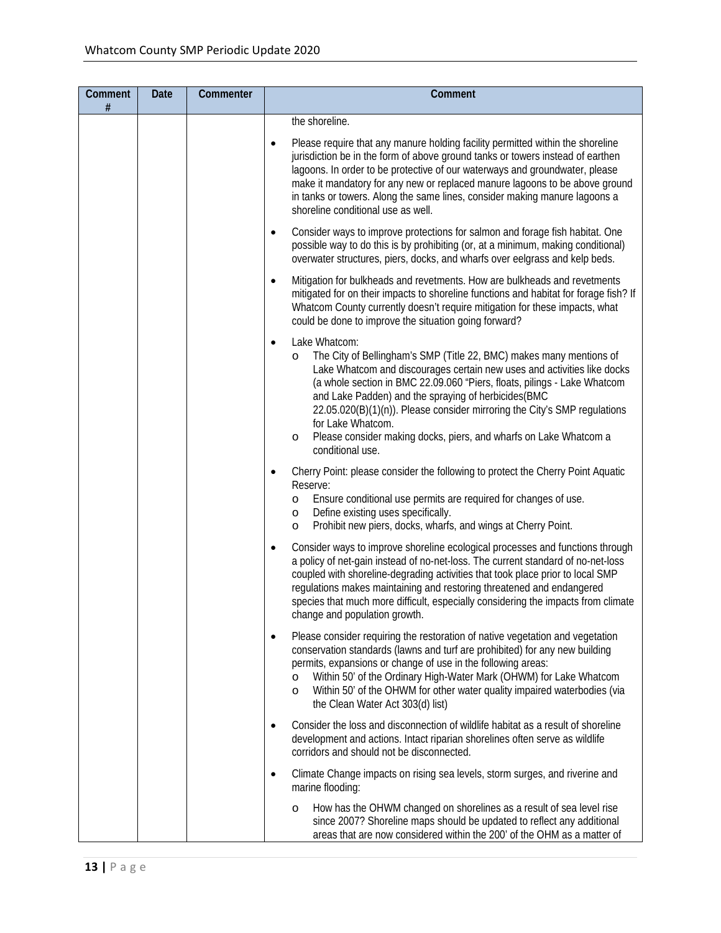| Comment<br>$\#$ | <b>Date</b> | Commenter | Comment                                                                                                                                                                                                                                                                                                                                                                                                                                                                                                                     |
|-----------------|-------------|-----------|-----------------------------------------------------------------------------------------------------------------------------------------------------------------------------------------------------------------------------------------------------------------------------------------------------------------------------------------------------------------------------------------------------------------------------------------------------------------------------------------------------------------------------|
|                 |             |           | the shoreline.                                                                                                                                                                                                                                                                                                                                                                                                                                                                                                              |
|                 |             |           | Please require that any manure holding facility permitted within the shoreline<br>$\bullet$<br>jurisdiction be in the form of above ground tanks or towers instead of earthen<br>lagoons. In order to be protective of our waterways and groundwater, please<br>make it mandatory for any new or replaced manure lagoons to be above ground<br>in tanks or towers. Along the same lines, consider making manure lagoons a<br>shoreline conditional use as well.                                                             |
|                 |             |           | Consider ways to improve protections for salmon and forage fish habitat. One<br>$\bullet$<br>possible way to do this is by prohibiting (or, at a minimum, making conditional)<br>overwater structures, piers, docks, and wharfs over eelgrass and kelp beds.                                                                                                                                                                                                                                                                |
|                 |             |           | Mitigation for bulkheads and revetments. How are bulkheads and revetments<br>$\bullet$<br>mitigated for on their impacts to shoreline functions and habitat for forage fish? If<br>Whatcom County currently doesn't require mitigation for these impacts, what<br>could be done to improve the situation going forward?                                                                                                                                                                                                     |
|                 |             |           | Lake Whatcom:<br>$\bullet$<br>The City of Bellingham's SMP (Title 22, BMC) makes many mentions of<br>$\circ$<br>Lake Whatcom and discourages certain new uses and activities like docks<br>(a whole section in BMC 22.09.060 "Piers, floats, pilings - Lake Whatcom<br>and Lake Padden) and the spraying of herbicides (BMC<br>22.05.020(B)(1)(n)). Please consider mirroring the City's SMP regulations<br>for Lake Whatcom.<br>Please consider making docks, piers, and wharfs on Lake Whatcom a<br>O<br>conditional use. |
|                 |             |           | Cherry Point: please consider the following to protect the Cherry Point Aquatic<br>$\bullet$<br>Reserve:<br>Ensure conditional use permits are required for changes of use.<br>$\circ$<br>Define existing uses specifically.<br>$\circ$<br>Prohibit new piers, docks, wharfs, and wings at Cherry Point.<br>$\circ$                                                                                                                                                                                                         |
|                 |             |           | Consider ways to improve shoreline ecological processes and functions through<br>$\bullet$<br>a policy of net-gain instead of no-net-loss. The current standard of no-net-loss<br>coupled with shoreline-degrading activities that took place prior to local SMP<br>regulations makes maintaining and restoring threatened and endangered<br>species that much more difficult, especially considering the impacts from climate<br>change and population growth.                                                             |
|                 |             |           | Please consider requiring the restoration of native vegetation and vegetation<br>$\bullet$<br>conservation standards (lawns and turf are prohibited) for any new building<br>permits, expansions or change of use in the following areas:<br>Within 50' of the Ordinary High-Water Mark (OHWM) for Lake Whatcom<br>$\circ$<br>Within 50' of the OHWM for other water quality impaired waterbodies (via<br>$\circ$<br>the Clean Water Act 303(d) list)                                                                       |
|                 |             |           | Consider the loss and disconnection of wildlife habitat as a result of shoreline<br>$\bullet$<br>development and actions. Intact riparian shorelines often serve as wildlife<br>corridors and should not be disconnected.                                                                                                                                                                                                                                                                                                   |
|                 |             |           | Climate Change impacts on rising sea levels, storm surges, and riverine and<br>$\bullet$<br>marine flooding:                                                                                                                                                                                                                                                                                                                                                                                                                |
|                 |             |           | How has the OHWM changed on shorelines as a result of sea level rise<br>$\circ$<br>since 2007? Shoreline maps should be updated to reflect any additional<br>areas that are now considered within the 200' of the OHM as a matter of                                                                                                                                                                                                                                                                                        |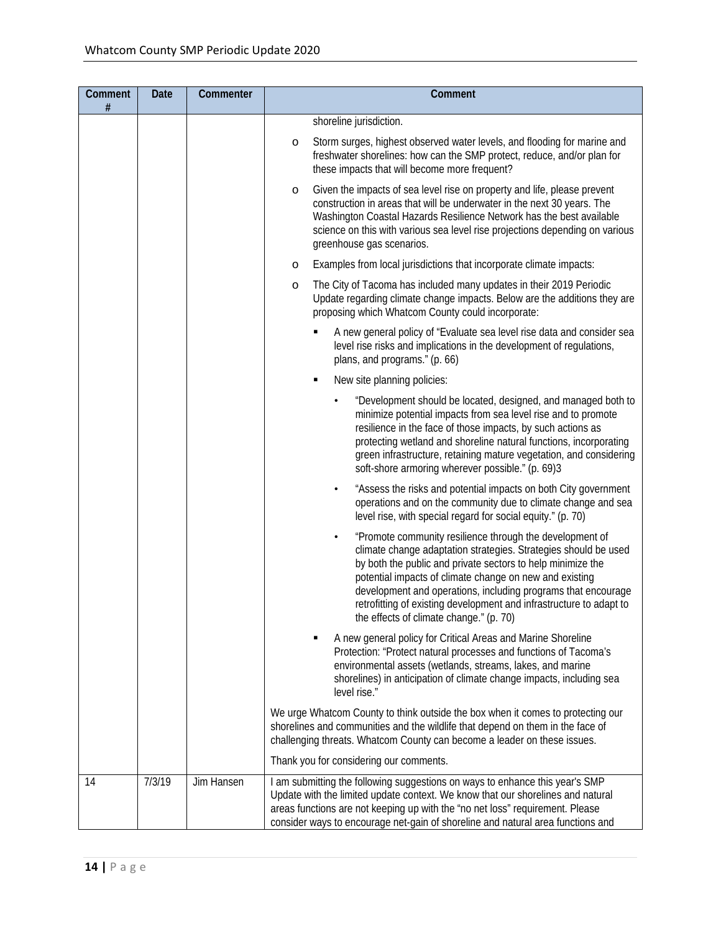| <b>Comment</b><br># | Date   | Commenter  | Comment                                                                                                                                                                                                                                                                                                                                                                                                                                               |
|---------------------|--------|------------|-------------------------------------------------------------------------------------------------------------------------------------------------------------------------------------------------------------------------------------------------------------------------------------------------------------------------------------------------------------------------------------------------------------------------------------------------------|
|                     |        |            | shoreline jurisdiction.                                                                                                                                                                                                                                                                                                                                                                                                                               |
|                     |        |            | Storm surges, highest observed water levels, and flooding for marine and<br>$\circ$<br>freshwater shorelines: how can the SMP protect, reduce, and/or plan for<br>these impacts that will become more frequent?                                                                                                                                                                                                                                       |
|                     |        |            | Given the impacts of sea level rise on property and life, please prevent<br>$\circ$<br>construction in areas that will be underwater in the next 30 years. The<br>Washington Coastal Hazards Resilience Network has the best available<br>science on this with various sea level rise projections depending on various<br>greenhouse gas scenarios.                                                                                                   |
|                     |        |            | Examples from local jurisdictions that incorporate climate impacts:<br>$\circ$                                                                                                                                                                                                                                                                                                                                                                        |
|                     |        |            | The City of Tacoma has included many updates in their 2019 Periodic<br>$\circ$<br>Update regarding climate change impacts. Below are the additions they are<br>proposing which Whatcom County could incorporate:                                                                                                                                                                                                                                      |
|                     |        |            | A new general policy of "Evaluate sea level rise data and consider sea<br>level rise risks and implications in the development of regulations,<br>plans, and programs." (p. 66)                                                                                                                                                                                                                                                                       |
|                     |        |            | New site planning policies:<br>п                                                                                                                                                                                                                                                                                                                                                                                                                      |
|                     |        |            | "Development should be located, designed, and managed both to<br>minimize potential impacts from sea level rise and to promote<br>resilience in the face of those impacts, by such actions as<br>protecting wetland and shoreline natural functions, incorporating<br>green infrastructure, retaining mature vegetation, and considering<br>soft-shore armoring wherever possible." (p. 69)3                                                          |
|                     |        |            | "Assess the risks and potential impacts on both City government<br>$\bullet$<br>operations and on the community due to climate change and sea<br>level rise, with special regard for social equity." (p. 70)                                                                                                                                                                                                                                          |
|                     |        |            | "Promote community resilience through the development of<br>$\bullet$<br>climate change adaptation strategies. Strategies should be used<br>by both the public and private sectors to help minimize the<br>potential impacts of climate change on new and existing<br>development and operations, including programs that encourage<br>retrofitting of existing development and infrastructure to adapt to<br>the effects of climate change." (p. 70) |
|                     |        |            | A new general policy for Critical Areas and Marine Shoreline<br>Protection: "Protect natural processes and functions of Tacoma's<br>environmental assets (wetlands, streams, lakes, and marine<br>shorelines) in anticipation of climate change impacts, including sea<br>level rise."                                                                                                                                                                |
|                     |        |            | We urge Whatcom County to think outside the box when it comes to protecting our<br>shorelines and communities and the wildlife that depend on them in the face of<br>challenging threats. Whatcom County can become a leader on these issues.                                                                                                                                                                                                         |
|                     |        |            | Thank you for considering our comments.                                                                                                                                                                                                                                                                                                                                                                                                               |
| 14                  | 7/3/19 | Jim Hansen | I am submitting the following suggestions on ways to enhance this year's SMP<br>Update with the limited update context. We know that our shorelines and natural<br>areas functions are not keeping up with the "no net loss" requirement. Please<br>consider ways to encourage net-gain of shoreline and natural area functions and                                                                                                                   |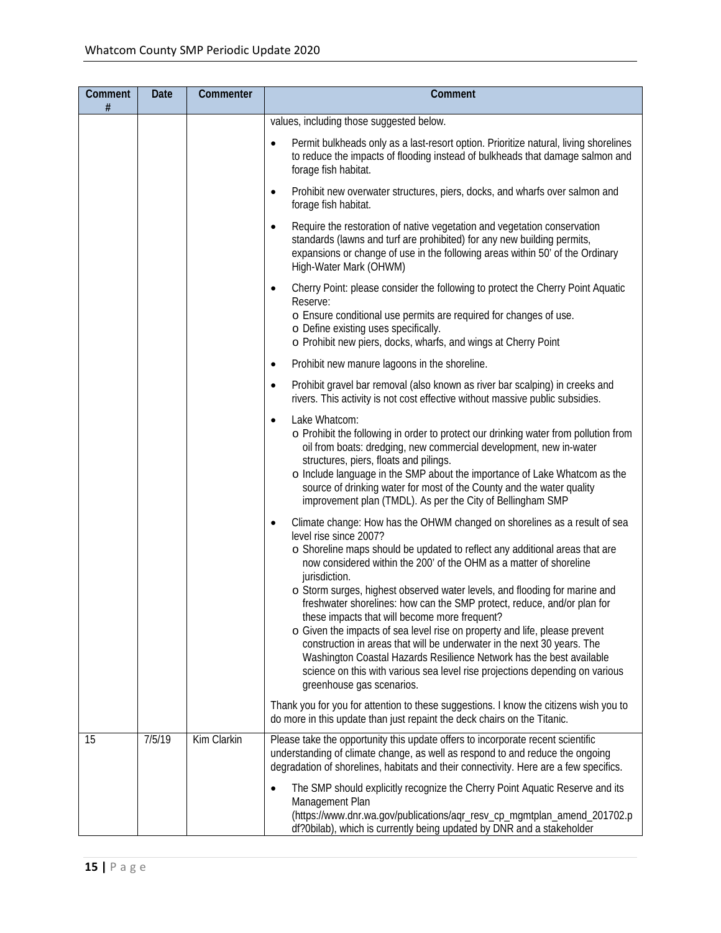| <b>Comment</b><br># | Date   | Commenter   | Comment                                                                                                                                                                                                                                                                                                                                                                                                                                                                                                                                                                                                                                                                                                                                                                                                                           |
|---------------------|--------|-------------|-----------------------------------------------------------------------------------------------------------------------------------------------------------------------------------------------------------------------------------------------------------------------------------------------------------------------------------------------------------------------------------------------------------------------------------------------------------------------------------------------------------------------------------------------------------------------------------------------------------------------------------------------------------------------------------------------------------------------------------------------------------------------------------------------------------------------------------|
|                     |        |             | values, including those suggested below.                                                                                                                                                                                                                                                                                                                                                                                                                                                                                                                                                                                                                                                                                                                                                                                          |
|                     |        |             | Permit bulkheads only as a last-resort option. Prioritize natural, living shorelines<br>to reduce the impacts of flooding instead of bulkheads that damage salmon and<br>forage fish habitat.                                                                                                                                                                                                                                                                                                                                                                                                                                                                                                                                                                                                                                     |
|                     |        |             | Prohibit new overwater structures, piers, docks, and wharfs over salmon and<br>$\bullet$<br>forage fish habitat.                                                                                                                                                                                                                                                                                                                                                                                                                                                                                                                                                                                                                                                                                                                  |
|                     |        |             | Require the restoration of native vegetation and vegetation conservation<br>$\bullet$<br>standards (lawns and turf are prohibited) for any new building permits,<br>expansions or change of use in the following areas within 50' of the Ordinary<br>High-Water Mark (OHWM)                                                                                                                                                                                                                                                                                                                                                                                                                                                                                                                                                       |
|                     |        |             | Cherry Point: please consider the following to protect the Cherry Point Aquatic<br>Reserve:<br>o Ensure conditional use permits are required for changes of use.<br>o Define existing uses specifically.                                                                                                                                                                                                                                                                                                                                                                                                                                                                                                                                                                                                                          |
|                     |        |             | o Prohibit new piers, docks, wharfs, and wings at Cherry Point                                                                                                                                                                                                                                                                                                                                                                                                                                                                                                                                                                                                                                                                                                                                                                    |
|                     |        |             | Prohibit new manure lagoons in the shoreline.                                                                                                                                                                                                                                                                                                                                                                                                                                                                                                                                                                                                                                                                                                                                                                                     |
|                     |        |             | Prohibit gravel bar removal (also known as river bar scalping) in creeks and<br>rivers. This activity is not cost effective without massive public subsidies.                                                                                                                                                                                                                                                                                                                                                                                                                                                                                                                                                                                                                                                                     |
|                     |        |             | Lake Whatcom:<br>$\bullet$<br>o Prohibit the following in order to protect our drinking water from pollution from<br>oil from boats: dredging, new commercial development, new in-water<br>structures, piers, floats and pilings.<br>o Include language in the SMP about the importance of Lake Whatcom as the<br>source of drinking water for most of the County and the water quality<br>improvement plan (TMDL). As per the City of Bellingham SMP                                                                                                                                                                                                                                                                                                                                                                             |
|                     |        |             | Climate change: How has the OHWM changed on shorelines as a result of sea<br>level rise since 2007?<br>o Shoreline maps should be updated to reflect any additional areas that are<br>now considered within the 200' of the OHM as a matter of shoreline<br>jurisdiction.<br>o Storm surges, highest observed water levels, and flooding for marine and<br>freshwater shorelines: how can the SMP protect, reduce, and/or plan for<br>these impacts that will become more frequent?<br>o Given the impacts of sea level rise on property and life, please prevent<br>construction in areas that will be underwater in the next 30 years. The<br>Washington Coastal Hazards Resilience Network has the best available<br>science on this with various sea level rise projections depending on various<br>greenhouse gas scenarios. |
|                     |        |             | Thank you for you for attention to these suggestions. I know the citizens wish you to<br>do more in this update than just repaint the deck chairs on the Titanic.                                                                                                                                                                                                                                                                                                                                                                                                                                                                                                                                                                                                                                                                 |
| 15                  | 7/5/19 | Kim Clarkin | Please take the opportunity this update offers to incorporate recent scientific<br>understanding of climate change, as well as respond to and reduce the ongoing<br>degradation of shorelines, habitats and their connectivity. Here are a few specifics.                                                                                                                                                                                                                                                                                                                                                                                                                                                                                                                                                                         |
|                     |        |             | The SMP should explicitly recognize the Cherry Point Aquatic Reserve and its<br>Management Plan<br>(https://www.dnr.wa.gov/publications/aqr_resv_cp_mgmtplan_amend_201702.p<br>df?0bilab), which is currently being updated by DNR and a stakeholder                                                                                                                                                                                                                                                                                                                                                                                                                                                                                                                                                                              |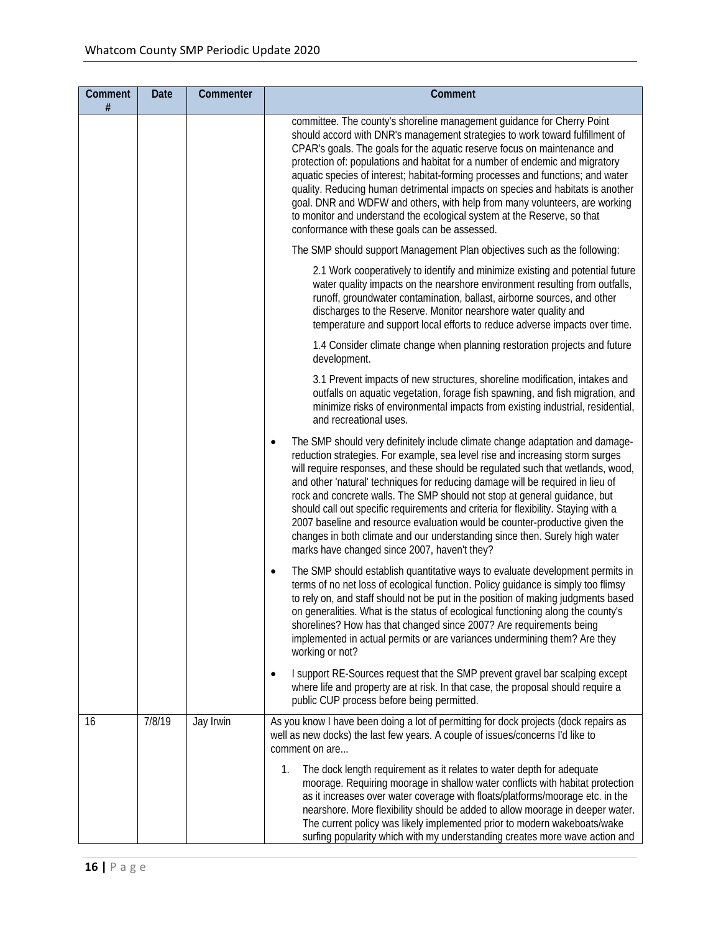| Comment<br>$\#$ | Date   | Commenter | Comment                                                                                                                                                                                                                                                                                                                                                                                                                                                                                                                                                                                                                                                                                                             |
|-----------------|--------|-----------|---------------------------------------------------------------------------------------------------------------------------------------------------------------------------------------------------------------------------------------------------------------------------------------------------------------------------------------------------------------------------------------------------------------------------------------------------------------------------------------------------------------------------------------------------------------------------------------------------------------------------------------------------------------------------------------------------------------------|
|                 |        |           | committee. The county's shoreline management guidance for Cherry Point<br>should accord with DNR's management strategies to work toward fulfillment of<br>CPAR's goals. The goals for the aquatic reserve focus on maintenance and<br>protection of: populations and habitat for a number of endemic and migratory<br>aquatic species of interest; habitat-forming processes and functions; and water<br>quality. Reducing human detrimental impacts on species and habitats is another<br>goal. DNR and WDFW and others, with help from many volunteers, are working<br>to monitor and understand the ecological system at the Reserve, so that<br>conformance with these goals can be assessed.                   |
|                 |        |           | The SMP should support Management Plan objectives such as the following:                                                                                                                                                                                                                                                                                                                                                                                                                                                                                                                                                                                                                                            |
|                 |        |           | 2.1 Work cooperatively to identify and minimize existing and potential future<br>water quality impacts on the nearshore environment resulting from outfalls,<br>runoff, groundwater contamination, ballast, airborne sources, and other<br>discharges to the Reserve. Monitor nearshore water quality and<br>temperature and support local efforts to reduce adverse impacts over time.                                                                                                                                                                                                                                                                                                                             |
|                 |        |           | 1.4 Consider climate change when planning restoration projects and future<br>development.                                                                                                                                                                                                                                                                                                                                                                                                                                                                                                                                                                                                                           |
|                 |        |           | 3.1 Prevent impacts of new structures, shoreline modification, intakes and<br>outfalls on aquatic vegetation, forage fish spawning, and fish migration, and<br>minimize risks of environmental impacts from existing industrial, residential,<br>and recreational uses.                                                                                                                                                                                                                                                                                                                                                                                                                                             |
|                 |        |           | The SMP should very definitely include climate change adaptation and damage-<br>reduction strategies. For example, sea level rise and increasing storm surges<br>will require responses, and these should be regulated such that wetlands, wood,<br>and other 'natural' techniques for reducing damage will be required in lieu of<br>rock and concrete walls. The SMP should not stop at general guidance, but<br>should call out specific requirements and criteria for flexibility. Staying with a<br>2007 baseline and resource evaluation would be counter-productive given the<br>changes in both climate and our understanding since then. Surely high water<br>marks have changed since 2007, haven't they? |
|                 |        |           | The SMP should establish quantitative ways to evaluate development permits in<br>٠<br>terms of no net loss of ecological function. Policy guidance is simply too flimsy<br>to rely on, and staff should not be put in the position of making judgments based<br>on generalities. What is the status of ecological functioning along the county's<br>shorelines? How has that changed since 2007? Are requirements being<br>implemented in actual permits or are variances undermining them? Are they<br>working or not?                                                                                                                                                                                             |
|                 |        |           | I support RE-Sources request that the SMP prevent gravel bar scalping except<br>where life and property are at risk. In that case, the proposal should require a<br>public CUP process before being permitted.                                                                                                                                                                                                                                                                                                                                                                                                                                                                                                      |
| 16              | 7/8/19 | Jay Irwin | As you know I have been doing a lot of permitting for dock projects (dock repairs as<br>well as new docks) the last few years. A couple of issues/concerns I'd like to<br>comment on are                                                                                                                                                                                                                                                                                                                                                                                                                                                                                                                            |
|                 |        |           | The dock length requirement as it relates to water depth for adequate<br>1.<br>moorage. Requiring moorage in shallow water conflicts with habitat protection<br>as it increases over water coverage with floats/platforms/moorage etc. in the<br>nearshore. More flexibility should be added to allow moorage in deeper water.<br>The current policy was likely implemented prior to modern wakeboats/wake<br>surfing popularity which with my understanding creates more wave action and                                                                                                                                                                                                                           |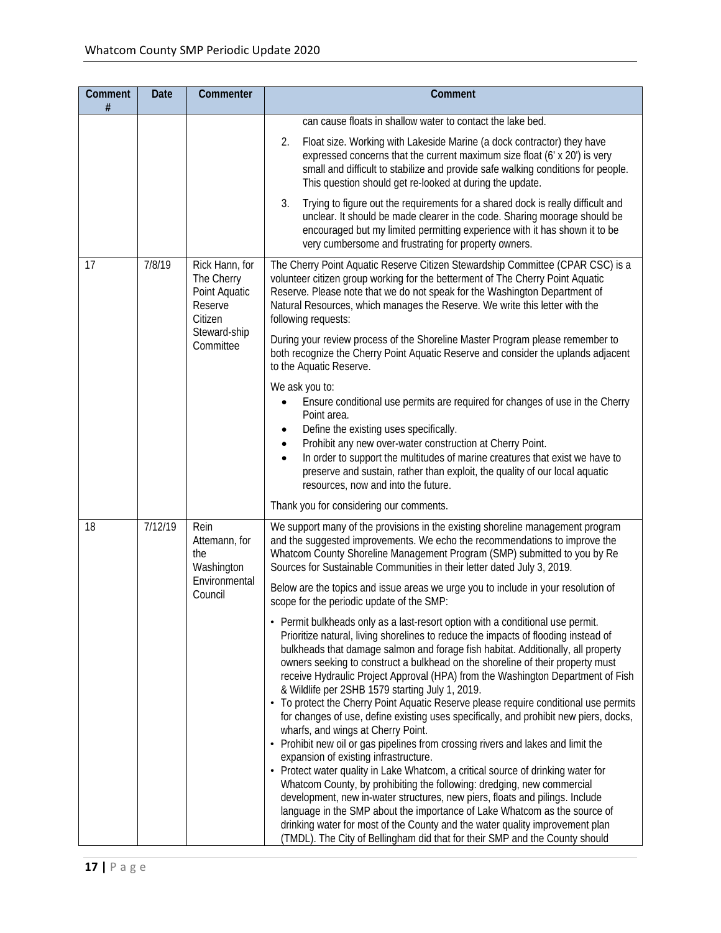| Comment<br>$\#$ | <b>Date</b> | Commenter                                                                                        | Comment                                                                                                                                                                                                                                                                                                                                                                                                                                                                                                                                                                                                                                                                                                                                                                                                                                                                                                                                                                                                                                                                                                                                                                                                                                                                                                                        |
|-----------------|-------------|--------------------------------------------------------------------------------------------------|--------------------------------------------------------------------------------------------------------------------------------------------------------------------------------------------------------------------------------------------------------------------------------------------------------------------------------------------------------------------------------------------------------------------------------------------------------------------------------------------------------------------------------------------------------------------------------------------------------------------------------------------------------------------------------------------------------------------------------------------------------------------------------------------------------------------------------------------------------------------------------------------------------------------------------------------------------------------------------------------------------------------------------------------------------------------------------------------------------------------------------------------------------------------------------------------------------------------------------------------------------------------------------------------------------------------------------|
|                 |             |                                                                                                  | can cause floats in shallow water to contact the lake bed.                                                                                                                                                                                                                                                                                                                                                                                                                                                                                                                                                                                                                                                                                                                                                                                                                                                                                                                                                                                                                                                                                                                                                                                                                                                                     |
|                 |             |                                                                                                  | Float size. Working with Lakeside Marine (a dock contractor) they have<br>2.<br>expressed concerns that the current maximum size float (6' x 20') is very<br>small and difficult to stabilize and provide safe walking conditions for people.<br>This question should get re-looked at during the update.                                                                                                                                                                                                                                                                                                                                                                                                                                                                                                                                                                                                                                                                                                                                                                                                                                                                                                                                                                                                                      |
|                 |             |                                                                                                  | 3.<br>Trying to figure out the requirements for a shared dock is really difficult and<br>unclear. It should be made clearer in the code. Sharing moorage should be<br>encouraged but my limited permitting experience with it has shown it to be<br>very cumbersome and frustrating for property owners.                                                                                                                                                                                                                                                                                                                                                                                                                                                                                                                                                                                                                                                                                                                                                                                                                                                                                                                                                                                                                       |
| 17              | 7/8/19      | Rick Hann, for<br>The Cherry<br>Point Aquatic<br>Reserve<br>Citizen<br>Steward-ship<br>Committee | The Cherry Point Aquatic Reserve Citizen Stewardship Committee (CPAR CSC) is a<br>volunteer citizen group working for the betterment of The Cherry Point Aquatic<br>Reserve. Please note that we do not speak for the Washington Department of<br>Natural Resources, which manages the Reserve. We write this letter with the<br>following requests:                                                                                                                                                                                                                                                                                                                                                                                                                                                                                                                                                                                                                                                                                                                                                                                                                                                                                                                                                                           |
|                 |             |                                                                                                  | During your review process of the Shoreline Master Program please remember to<br>both recognize the Cherry Point Aquatic Reserve and consider the uplands adjacent<br>to the Aquatic Reserve.                                                                                                                                                                                                                                                                                                                                                                                                                                                                                                                                                                                                                                                                                                                                                                                                                                                                                                                                                                                                                                                                                                                                  |
|                 |             |                                                                                                  | We ask you to:<br>Ensure conditional use permits are required for changes of use in the Cherry<br>Point area.<br>Define the existing uses specifically.<br>٠<br>Prohibit any new over-water construction at Cherry Point.<br>$\bullet$<br>In order to support the multitudes of marine creatures that exist we have to<br>preserve and sustain, rather than exploit, the quality of our local aquatic<br>resources, now and into the future.                                                                                                                                                                                                                                                                                                                                                                                                                                                                                                                                                                                                                                                                                                                                                                                                                                                                                   |
|                 |             |                                                                                                  | Thank you for considering our comments.                                                                                                                                                                                                                                                                                                                                                                                                                                                                                                                                                                                                                                                                                                                                                                                                                                                                                                                                                                                                                                                                                                                                                                                                                                                                                        |
| 18              | 7/12/19     | Rein<br>Attemann, for<br>the<br>Washington                                                       | We support many of the provisions in the existing shoreline management program<br>and the suggested improvements. We echo the recommendations to improve the<br>Whatcom County Shoreline Management Program (SMP) submitted to you by Re<br>Sources for Sustainable Communities in their letter dated July 3, 2019.                                                                                                                                                                                                                                                                                                                                                                                                                                                                                                                                                                                                                                                                                                                                                                                                                                                                                                                                                                                                            |
|                 |             | Environmental<br>Council                                                                         | Below are the topics and issue areas we urge you to include in your resolution of<br>scope for the periodic update of the SMP:                                                                                                                                                                                                                                                                                                                                                                                                                                                                                                                                                                                                                                                                                                                                                                                                                                                                                                                                                                                                                                                                                                                                                                                                 |
|                 |             |                                                                                                  | • Permit bulkheads only as a last-resort option with a conditional use permit.<br>Prioritize natural, living shorelines to reduce the impacts of flooding instead of<br>bulkheads that damage salmon and forage fish habitat. Additionally, all property<br>owners seeking to construct a bulkhead on the shoreline of their property must<br>receive Hydraulic Project Approval (HPA) from the Washington Department of Fish<br>& Wildlife per 2SHB 1579 starting July 1, 2019.<br>• To protect the Cherry Point Aquatic Reserve please require conditional use permits<br>for changes of use, define existing uses specifically, and prohibit new piers, docks,<br>wharfs, and wings at Cherry Point.<br>• Prohibit new oil or gas pipelines from crossing rivers and lakes and limit the<br>expansion of existing infrastructure.<br>• Protect water quality in Lake Whatcom, a critical source of drinking water for<br>Whatcom County, by prohibiting the following: dredging, new commercial<br>development, new in-water structures, new piers, floats and pilings. Include<br>language in the SMP about the importance of Lake Whatcom as the source of<br>drinking water for most of the County and the water quality improvement plan<br>(TMDL). The City of Bellingham did that for their SMP and the County should |